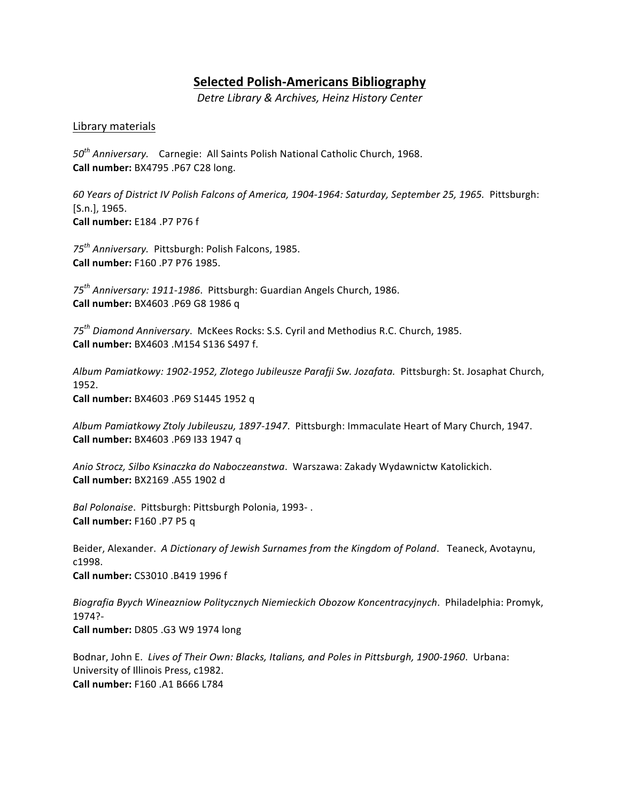# **Selected Polish-Americans Bibliography**

*Detre Library & Archives, Heinz History Center*

### Library materials

*50th Anniversary.* Carnegie: All Saints Polish National Catholic Church, 1968. **Call number:** BX4795 .P67 C28 long.

*60 Years of District IV Polish Falcons of America, 1904-1964: Saturday, September 25, 1965.* Pittsburgh: [S.n.], 1965. **Call number:** E184 .P7 P76 f

*75th Anniversary.* Pittsburgh: Polish Falcons, 1985. **Call number:** F160 .P7 P76 1985. 

75<sup>th</sup> Anniversary: 1911-1986. Pittsburgh: Guardian Angels Church, 1986. **Call number:** BX4603 .P69 G8 1986 q

*75th Diamond Anniversary*. McKees Rocks: S.S. Cyril and Methodius R.C. Church, 1985. **Call number:** BX4603 .M154 S136 S497 f.

Album Pamiatkowy: 1902-1952, Zlotego Jubileusze Parafji Sw. Jozafata. Pittsburgh: St. Josaphat Church, 1952. 

**Call number:** BX4603 .P69 S1445 1952 q

Album Pamiatkowy Ztoly Jubileuszu, 1897-1947. Pittsburgh: Immaculate Heart of Mary Church, 1947. **Call number:** BX4603 .P69 133 1947 q

Anio Strocz, Silbo Ksinaczka do Naboczeanstwa. Warszawa: Zakady Wydawnictw Katolickich. **Call number:** BX2169 .A55 1902 d

*Bal Polonaise.* Pittsburgh: Pittsburgh Polonia, 1993-. **Call number:** F160 .P7 P5 q

Beider, Alexander. A Dictionary of Jewish Surnames from the Kingdom of Poland. Teaneck, Avotaynu, c1998. 

**Call number:** CS3010 .B419 1996 f 

*Biografia Byych Wineazniow Politycznych Niemieckich Obozow Koncentracyjnych*. Philadelphia: Promyk, 1974?- **Call number:** D805 .G3 W9 1974 long

Bodnar, John E. Lives of Their Own: Blacks, Italians, and Poles in Pittsburgh, 1900-1960. Urbana: University of Illinois Press, c1982. **Call number:** F160 .A1 B666 L784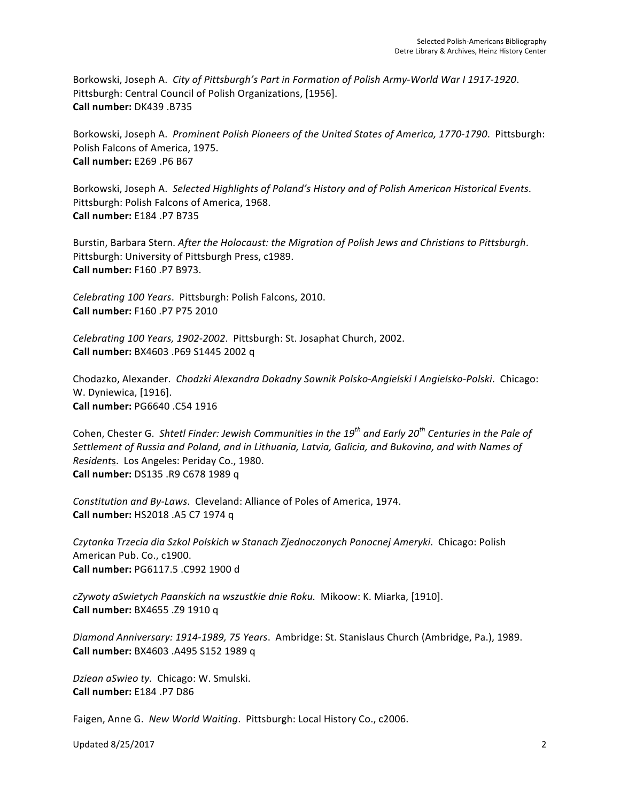Borkowski, Joseph A. City of Pittsburgh's Part in Formation of Polish Army-World War I 1917-1920. Pittsburgh: Central Council of Polish Organizations, [1956]. **Call number:** DK439 .B735 

Borkowski, Joseph A. Prominent Polish Pioneers of the United States of America, 1770-1790. Pittsburgh: Polish Falcons of America, 1975. **Call number:** E269 .P6 B67

Borkowski, Joseph A. Selected Highlights of Poland's History and of Polish American Historical Events. Pittsburgh: Polish Falcons of America, 1968. **Call number:** E184 .P7 B735 

Burstin, Barbara Stern. *After the Holocaust: the Migration of Polish Jews and Christians to Pittsburgh.* Pittsburgh: University of Pittsburgh Press, c1989. **Call number:** F160 .P7 B973. 

*Celebrating 100 Years*. Pittsburgh: Polish Falcons, 2010. **Call number:** F160 .P7 P75 2010

*Celebrating 100 Years, 1902-2002. Pittsburgh: St. Josaphat Church, 2002.* **Call number:** BX4603 .P69 S1445 2002 q

Chodazko, Alexander. Chodzki Alexandra Dokadny Sownik Polsko-Angielski I Angielsko-Polski. Chicago: W. Dyniewica, [1916]. **Call number:** PG6640 .C54 1916

Cohen, Chester G. Shtetl Finder: Jewish Communities in the 19<sup>th</sup> and Early 20<sup>th</sup> Centuries in the Pale of Settlement of Russia and Poland, and in Lithuania, Latvia, Galicia, and Bukovina, and with Names of *Residents.* Los Angeles: Periday Co., 1980. **Call number:** DS135 .R9 C678 1989 q

*Constitution and By-Laws.* Cleveland: Alliance of Poles of America, 1974. **Call number:** HS2018 .A5 C7 1974 q

*Czytanka Trzecia dia Szkol Polskich w Stanach Zjednoczonych Ponocnej Ameryki*. Chicago: Polish American Pub. Co., c1900. **Call number:** PG6117.5 .C992 1900 d 

*cZywoty aSwietych Paanskich na wszustkie dnie Roku.* Mikoow: K. Miarka, [1910]. **Call number:** BX4655 .Z9 1910 q

*Diamond Anniversary: 1914-1989, 75 Years*. Ambridge: St. Stanislaus Church (Ambridge, Pa.), 1989. **Call number:** BX4603 .A495 S152 1989 q

Dziean aSwieo ty. Chicago: W. Smulski. **Call number:** E184 .P7 D86

Faigen, Anne G. New World Waiting. Pittsburgh: Local History Co., c2006.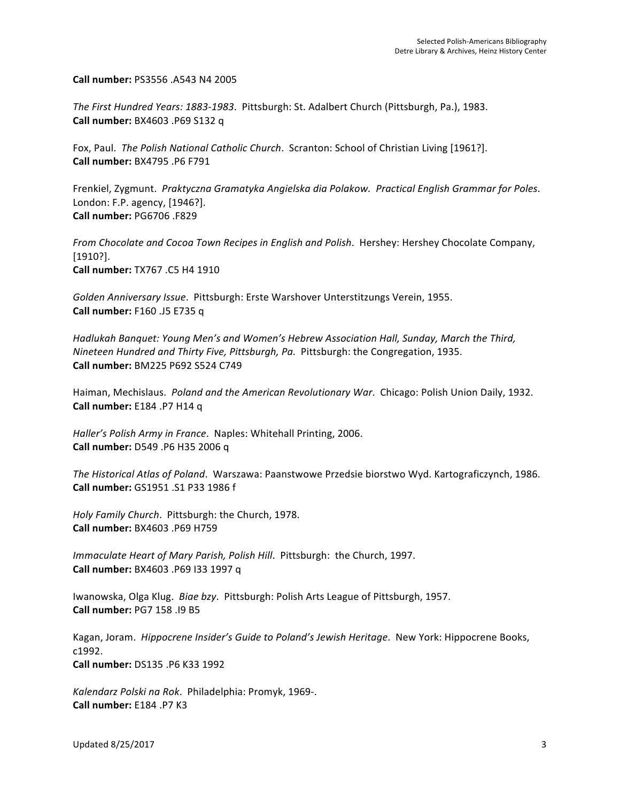**Call number:** PS3556 .A543 N4 2005 

The First Hundred Years: 1883-1983. Pittsburgh: St. Adalbert Church (Pittsburgh, Pa.), 1983. **Call number:** BX4603 .P69 S132 q

Fox, Paul. The Polish National Catholic Church. Scranton: School of Christian Living [1961?]. **Call number:** BX4795 .P6 F791 

Frenkiel, Zygmunt. Praktyczna Gramatyka Angielska dia Polakow. Practical English Grammar for Poles. London: F.P. agency, [1946?]. **Call number:** PG6706 .F829 

*From Chocolate and Cocoa Town Recipes in English and Polish.* Hershey: Hershey Chocolate Company, [1910?]. **Call number:** TX767 .C5 H4 1910

Golden Anniversary Issue. Pittsburgh: Erste Warshover Unterstitzungs Verein, 1955. **Call number:** F160 .J5 E735 q

Hadlukah Banquet: Young Men's and Women's Hebrew Association Hall, Sunday, March the Third, *Nineteen Hundred and Thirty Five, Pittsburgh, Pa. Pittsburgh: the Congregation, 1935.* **Call number:** BM225 P692 S524 C749

Haiman, Mechislaus. *Poland and the American Revolutionary War*. Chicago: Polish Union Daily, 1932. **Call number:** E184 .P7 H14 q

Haller's Polish Army in France. Naples: Whitehall Printing, 2006. **Call number:** D549 .P6 H35 2006 q 

The Historical Atlas of Poland. Warszawa: Paanstwowe Przedsie biorstwo Wyd. Kartograficzynch, 1986. **Call number:** GS1951 .S1 P33 1986 f

*Holy Family Church.* Pittsburgh: the Church, 1978. **Call number:** BX4603 .P69 H759 

*Immaculate Heart of Mary Parish, Polish Hill. Pittsburgh: the Church, 1997.* **Call number:** BX4603 .P69 I33 1997 q

Iwanowska, Olga Klug. Biae bzy. Pittsburgh: Polish Arts League of Pittsburgh, 1957. **Call number:** PG7 158 .I9 B5 

Kagan, Joram. Hippocrene Insider's Guide to Poland's Jewish Heritage. New York: Hippocrene Books, c1992. **Call number:** DS135 .P6 K33 1992 

*Kalendarz Polski na Rok.* Philadelphia: Promyk, 1969-. **Call number:** E184 .P7 K3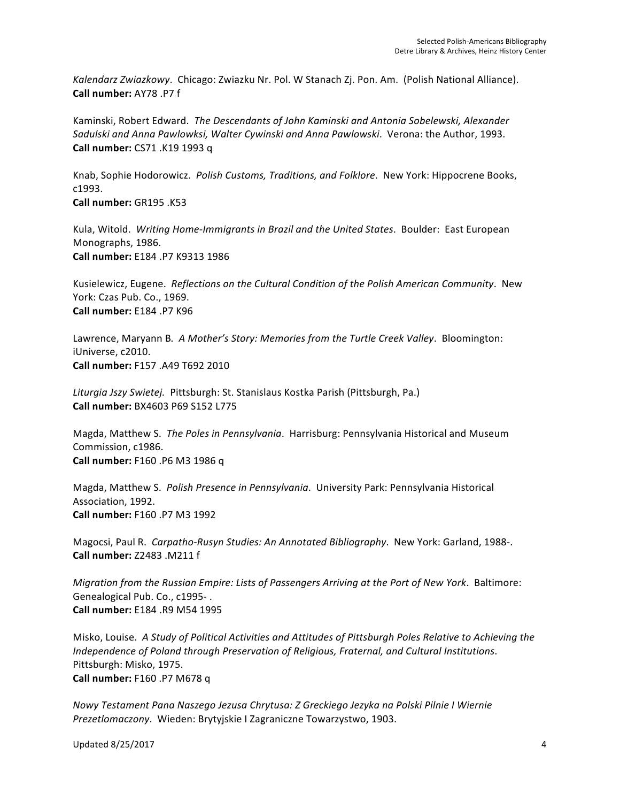Kalendarz Zwiazkowy. Chicago: Zwiazku Nr. Pol. W Stanach Zj. Pon. Am. (Polish National Alliance). **Call number:** AY78 .P7 f 

Kaminski, Robert Edward. The Descendants of John Kaminski and Antonia Sobelewski, Alexander Sadulski and Anna Pawlowksi, Walter Cywinski and Anna Pawlowski. Verona: the Author, 1993. **Call number:** CS71 .K19 1993 q

Knab, Sophie Hodorowicz. *Polish Customs, Traditions, and Folklore*. New York: Hippocrene Books, c1993. 

**Call number:** GR195 .K53 

Kula, Witold. Writing Home-Immigrants in Brazil and the United States. Boulder: East European Monographs, 1986. **Call number:** E184 .P7 K9313 1986 

Kusielewicz, Eugene. Reflections on the Cultural Condition of the Polish American Community. New York: Czas Pub. Co., 1969. **Call number:** E184 .P7 K96 

Lawrence, Maryann B. A Mother's Story: Memories from the Turtle Creek Valley. Bloomington: iUniverse, c2010. **Call number:** F157 .A49 T692 2010

Liturgia Jszy Swietej. Pittsburgh: St. Stanislaus Kostka Parish (Pittsburgh, Pa.) **Call number:** BX4603 P69 S152 L775

Magda, Matthew S. The Poles in Pennsylvania. Harrisburg: Pennsylvania Historical and Museum Commission, c1986. **Call number:** F160 .P6 M3 1986 q

Magda, Matthew S. Polish Presence in Pennsylvania. University Park: Pennsylvania Historical Association, 1992. **Call number:** F160 .P7 M3 1992 

Magocsi, Paul R. Carpatho-Rusyn Studies: An Annotated Bibliography. New York: Garland, 1988-. **Call number:** Z2483 .M211 f 

*Migration from the Russian Empire: Lists of Passengers Arriving at the Port of New York. Baltimore:* Genealogical Pub. Co., c1995-. **Call number:** E184 .R9 M54 1995 

Misko, Louise. A Study of Political Activities and Attitudes of Pittsburgh Poles Relative to Achieving the *Independence of Poland through Preservation of Religious, Fraternal, and Cultural Institutions.* Pittsburgh: Misko, 1975. **Call number:** F160 .P7 M678 q

*Nowy Testament Pana Naszego Jezusa Chrytusa: Z Greckiego Jezyka na Polski Pilnie I Wiernie Prezetlomaczony*. Wieden: Brytyjskie I Zagraniczne Towarzystwo, 1903.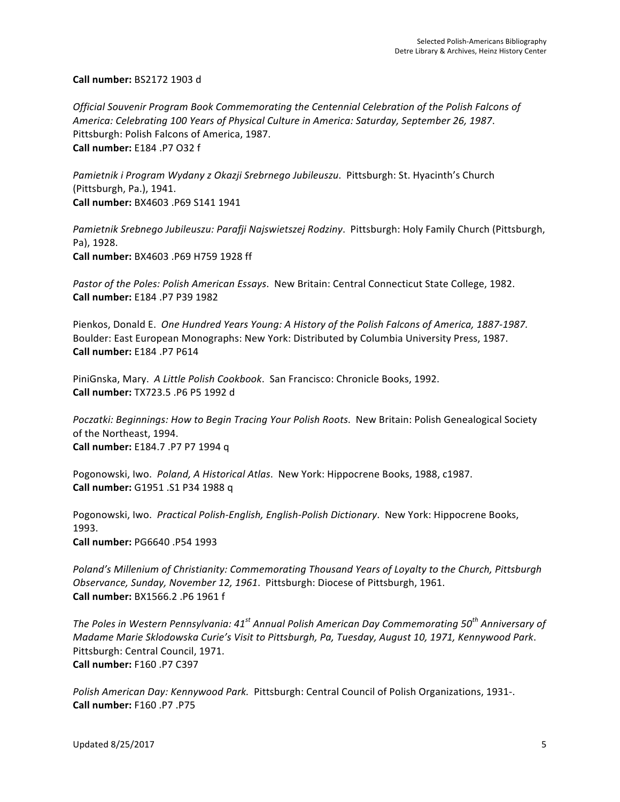**Call number:** BS2172 1903 d

Official Souvenir Program Book Commemorating the Centennial Celebration of the Polish Falcons of America: Celebrating 100 Years of Physical Culture in America: Saturday, September 26, 1987. Pittsburgh: Polish Falcons of America, 1987. **Call number:** E184 .P7 O32 f 

Pamietnik i Program Wydany z Okazji Srebrnego Jubileuszu. Pittsburgh: St. Hyacinth's Church (Pittsburgh, Pa.), 1941. **Call number:** BX4603 .P69 S141 1941

*Pamietnik Srebnego Jubileuszu: Parafji Najswietszej Rodziny.* Pittsburgh: Holy Family Church (Pittsburgh, Pa), 1928. **Call number:** BX4603 .P69 H759 1928 ff 

Pastor of the Poles: Polish American Essays. New Britain: Central Connecticut State College, 1982. **Call number:** E184 .P7 P39 1982 

Pienkos, Donald E. One Hundred Years Young: A History of the Polish Falcons of America, 1887-1987. Boulder: East European Monographs: New York: Distributed by Columbia University Press, 1987. **Call number:** E184 .P7 P614 

PiniGnska, Mary. A Little Polish Cookbook. San Francisco: Chronicle Books, 1992. **Call number:** TX723.5 .P6 P5 1992 d

*Poczatki: Beginnings: How to Begin Tracing Your Polish Roots.* New Britain: Polish Genealogical Society of the Northeast, 1994. **Call number:** E184.7 .P7 P7 1994 q

Pogonowski, Iwo. Poland, A Historical Atlas. New York: Hippocrene Books, 1988, c1987. **Call number:** G1951 .S1 P34 1988 q

Pogonowski, Iwo. Practical Polish-English, English-Polish Dictionary. New York: Hippocrene Books, 1993. 

**Call number:** PG6640 .P54 1993 

*Poland's* Millenium of Christianity: Commemorating Thousand Years of Loyalty to the Church, Pittsburgh *Observance, Sunday, November 12, 1961.* Pittsburgh: Diocese of Pittsburgh, 1961. **Call number:** BX1566.2 .P6 1961 f

*The Poles in Western Pennsylvania:*  $41^{st}$  *Annual Polish American Day Commemorating*  $50^{th}$  *Anniversary of Madame Marie Sklodowska Curie's Visit to Pittsburgh, Pa, Tuesday, August 10, 1971, Kennywood Park.* Pittsburgh: Central Council, 1971. **Call number:** F160 .P7 C397 

*Polish American Day: Kennywood Park.* Pittsburgh: Central Council of Polish Organizations, 1931-. **Call number:** F160 .P7 .P75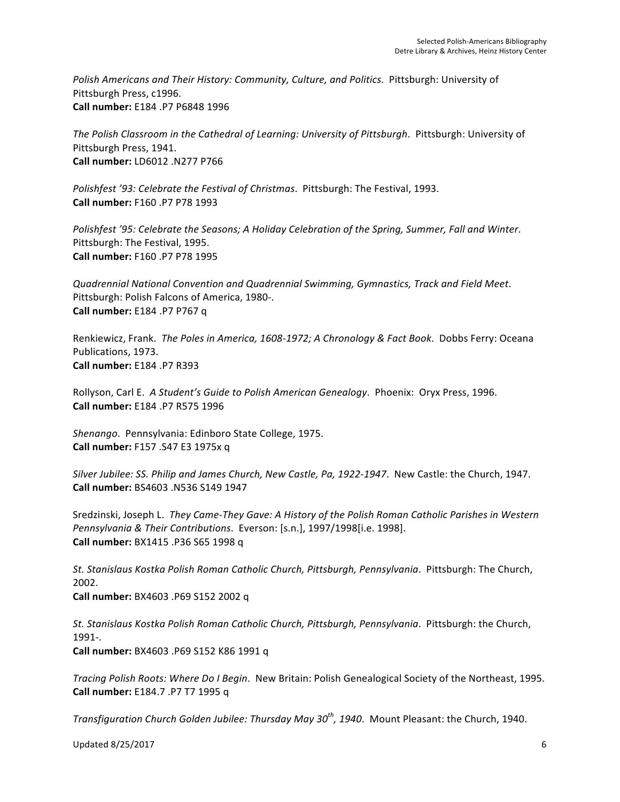Polish Americans and Their History: Community, Culture, and Politics. Pittsburgh: University of Pittsburgh Press, c1996. **Call number:** E184 .P7 P6848 1996 

The Polish Classroom in the Cathedral of Learning: University of Pittsburgh. Pittsburgh: University of Pittsburgh Press, 1941. **Call number:** LD6012 .N277 P766 

Polishfest '93: Celebrate the Festival of Christmas. Pittsburgh: The Festival, 1993. **Call number:** F160 .P7 P78 1993

*Polishfest* '95: Celebrate the Seasons; A Holiday Celebration of the Spring, Summer, Fall and Winter. Pittsburgh: The Festival, 1995. **Call number:** F160 .P7 P78 1995

*Quadrennial National Convention and Quadrennial Swimming, Gymnastics, Track and Field Meet*. Pittsburgh: Polish Falcons of America, 1980-. **Call number:** E184 .P7 P767 q

Renkiewicz, Frank. The Poles in America, 1608-1972; A Chronology & Fact Book. Dobbs Ferry: Oceana Publications, 1973. **Call number:** E184 .P7 R393 

Rollyson, Carl E. A Student's Guide to Polish American Genealogy. Phoenix: Oryx Press, 1996. **Call number:** E184 .P7 R575 1996 

Shenango. Pennsylvania: Edinboro State College, 1975. **Call number:** F157 .S47 E3 1975x q

*Silver Jubilee: SS. Philip and James Church, New Castle, Pa, 1922-1947.* New Castle: the Church, 1947. **Call number:** BS4603 .N536 S149 1947

Sredzinski, Joseph L. They Came-They Gave: A History of the Polish Roman Catholic Parishes in Western Pennsylvania & Their Contributions. Everson: [s.n.], 1997/1998[i.e. 1998]. **Call number:** BX1415 .P36 S65 1998 q

*St. Stanislaus Kostka Polish Roman Catholic Church, Pittsburgh, Pennsylvania*. Pittsburgh: The Church, 2002. **Call number:** BX4603 .P69 S152 2002 q

St. Stanislaus Kostka Polish Roman Catholic Church, Pittsburgh, Pennsylvania. Pittsburgh: the Church, 1991-. 

**Call number:** BX4603 .P69 S152 K86 1991 q

*Tracing Polish Roots: Where Do I Begin.* New Britain: Polish Genealogical Society of the Northeast, 1995. **Call number:** E184.7 .P7 T7 1995 q

*Transfiguration Church Golden Jubilee: Thursday May 30<sup>th</sup>, 1940. Mount Pleasant: the Church, 1940.*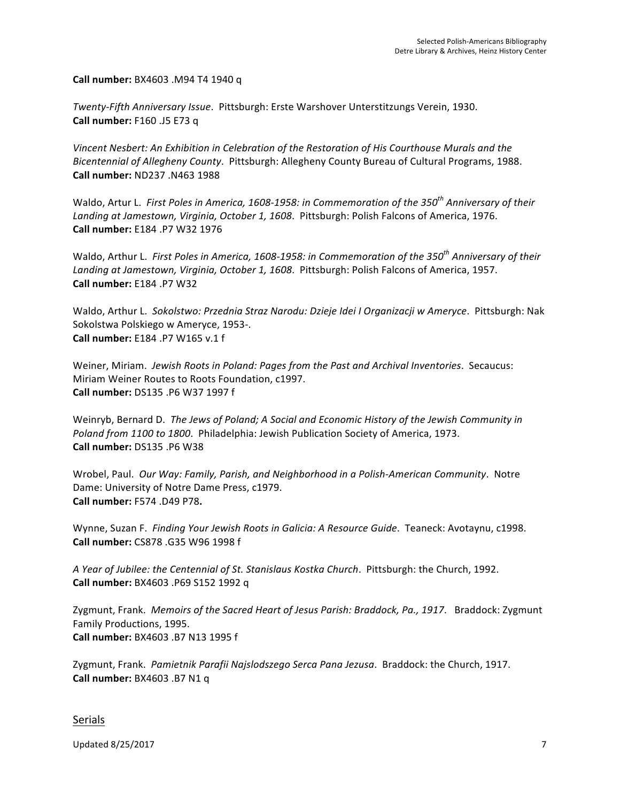**Call number:** BX4603 .M94 T4 1940 q

*Twenty-Fifth Anniversary Issue*. Pittsburgh: Erste Warshover Unterstitzungs Verein, 1930. **Call number:** F160 .J5 E73 q

Vincent Nesbert: An Exhibition in Celebration of the Restoration of His Courthouse Murals and the Bicentennial of Allegheny County. Pittsburgh: Allegheny County Bureau of Cultural Programs, 1988. **Call number:** ND237 .N463 1988

Waldo, Artur L. First Poles in America, 1608-1958: in Commemoration of the 350<sup>th</sup> Anniversary of their Landing at Jamestown, Virginia, October 1, 1608. Pittsburgh: Polish Falcons of America, 1976. **Call number:** E184 .P7 W32 1976 

Waldo, Arthur L. First Poles in America, 1608-1958: in Commemoration of the 350<sup>th</sup> Anniversary of their Landing at Jamestown, Virginia, October 1, 1608. Pittsburgh: Polish Falcons of America, 1957. **Call number:** E184 .P7 W32

Waldo, Arthur L. Sokolstwo: Przednia Straz Narodu: Dzieje Idei I Organizacji w Ameryce. Pittsburgh: Nak Sokolstwa Polskiego w Ameryce, 1953-. **Call number:** E184 .P7 W165 v.1 f 

Weiner, Miriam. Jewish Roots in Poland: Pages from the Past and Archival Inventories. Secaucus: Miriam Weiner Routes to Roots Foundation, c1997. **Call number:** DS135 .P6 W37 1997 f

Weinryb, Bernard D. The Jews of Poland; A Social and Economic History of the Jewish Community in Poland from 1100 to 1800. Philadelphia: Jewish Publication Society of America, 1973. **Call number:** DS135 .P6 W38 

Wrobel, Paul. Our Way: Family, Parish, and Neighborhood in a Polish-American Community. Notre Dame: University of Notre Dame Press, c1979. **Call number:** F574 .D49 P78**.**

Wynne, Suzan F. *Finding Your Jewish Roots in Galicia: A Resource Guide*. Teaneck: Avotaynu, c1998. **Call number:** CS878 .G35 W96 1998 f

*A* Year of Jubilee: the Centennial of St. Stanislaus Kostka Church. Pittsburgh: the Church, 1992. **Call number:** BX4603 .P69 S152 1992 q

Zygmunt, Frank. Memoirs of the Sacred Heart of Jesus Parish: Braddock, Pa., 1917. Braddock: Zygmunt Family Productions, 1995. **Call number:** BX4603 .B7 N13 1995 f 

Zygmunt, Frank. Pamietnik Parafii Najslodszego Serca Pana Jezusa. Braddock: the Church, 1917. **Call number:** BX4603 .B7 N1 q

#### Serials

Updated 8/25/2017  $\sqrt{ }$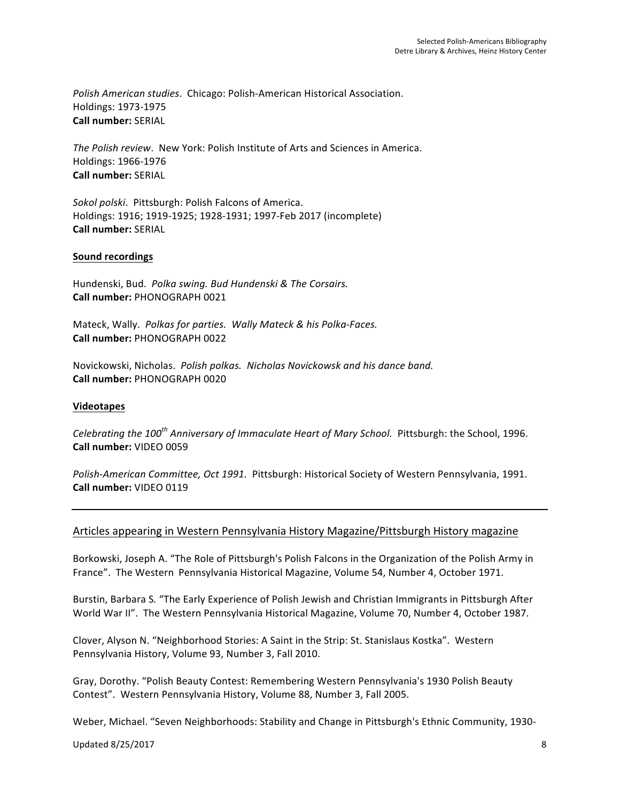Polish American studies. Chicago: Polish-American Historical Association. Holdings: 1973-1975 **Call number:** SERIAL

*The Polish review.* New York: Polish Institute of Arts and Sciences in America. Holdings: 1966-1976 **Call number:** SERIAL

Sokol polski. Pittsburgh: Polish Falcons of America. Holdings: 1916; 1919-1925; 1928-1931; 1997-Feb 2017 (incomplete) **Call number:** SERIAL

## **Sound recordings**

Hundenski, Bud. Polka swing. Bud Hundenski & The Corsairs. **Call number:** PHONOGRAPH 0021

Mateck, Wally. Polkas for parties. Wally Mateck & his Polka-Faces. **Call number:** PHONOGRAPH 0022

Novickowski, Nicholas. Polish polkas. Nicholas Novickowsk and his dance band. **Call number:** PHONOGRAPH 0020

## **Videotapes**

*Celebrating the 100<sup>th</sup> Anniversary of Immaculate Heart of Mary School.* Pittsburgh: the School, 1996. **Call number:** VIDEO 0059

Polish-American Committee, Oct 1991. Pittsburgh: Historical Society of Western Pennsylvania, 1991. **Call number:** VIDEO 0119

## Articles appearing in Western Pennsylvania History Magazine/Pittsburgh History magazine

Borkowski, Joseph A. "The Role of Pittsburgh's Polish Falcons in the Organization of the Polish Army in France". The Western Pennsylvania Historical Magazine, Volume 54, Number 4, October 1971.

Burstin, Barbara S. "The Early Experience of Polish Jewish and Christian Immigrants in Pittsburgh After World War II". The Western Pennsylvania Historical Magazine, Volume 70, Number 4, October 1987.

Clover, Alyson N. "Neighborhood Stories: A Saint in the Strip: St. Stanislaus Kostka". Western Pennsylvania History, Volume 93, Number 3, Fall 2010.

Gray, Dorothy. "Polish Beauty Contest: Remembering Western Pennsylvania's 1930 Polish Beauty Contest". Western Pennsylvania History, Volume 88, Number 3, Fall 2005.

Weber, Michael. "Seven Neighborhoods: Stability and Change in Pittsburgh's Ethnic Community, 1930-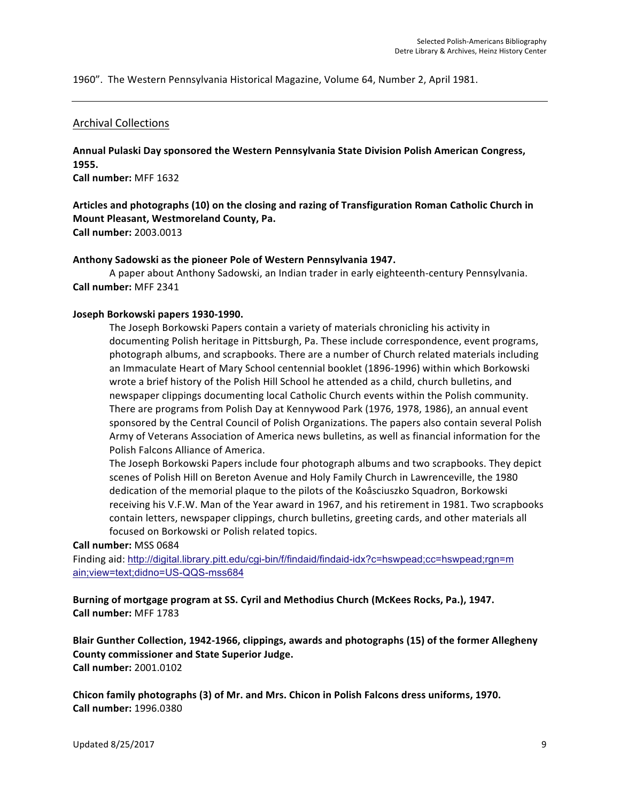1960". The Western Pennsylvania Historical Magazine, Volume 64, Number 2, April 1981.

### Archival Collections

Annual Pulaski Day sponsored the Western Pennsylvania State Division Polish American Congress, **1955.** 

**Call number:** MFF 1632

# Articles and photographs (10) on the closing and razing of Transfiguration Roman Catholic Church in **Mount Pleasant, Westmoreland County, Pa.**

**Call number:** 2003.0013

### Anthony Sadowski as the pioneer Pole of Western Pennsylvania 1947.

A paper about Anthony Sadowski, an Indian trader in early eighteenth-century Pennsylvania. **Call number:** MFF 2341

### Joseph Borkowski papers 1930-1990.

The Joseph Borkowski Papers contain a variety of materials chronicling his activity in documenting Polish heritage in Pittsburgh, Pa. These include correspondence, event programs, photograph albums, and scrapbooks. There are a number of Church related materials including an Immaculate Heart of Mary School centennial booklet (1896-1996) within which Borkowski wrote a brief history of the Polish Hill School he attended as a child, church bulletins, and newspaper clippings documenting local Catholic Church events within the Polish community. There are programs from Polish Day at Kennywood Park (1976, 1978, 1986), an annual event sponsored by the Central Council of Polish Organizations. The papers also contain several Polish Army of Veterans Association of America news bulletins, as well as financial information for the Polish Falcons Alliance of America.

The Joseph Borkowski Papers include four photograph albums and two scrapbooks. They depict scenes of Polish Hill on Bereton Avenue and Holy Family Church in Lawrenceville, the 1980 dedication of the memorial plaque to the pilots of the Koâsciuszko Squadron, Borkowski receiving his V.F.W. Man of the Year award in 1967, and his retirement in 1981. Two scrapbooks contain letters, newspaper clippings, church bulletins, greeting cards, and other materials all focused on Borkowski or Polish related topics.

### **Call number:** MSS 0684

Finding aid: http://digital.library.pitt.edu/cgi-bin/f/findaid/findaid-idx?c=hswpead;cc=hswpead;rgn=m ain;view=text;didno=US-QQS-mss684

Burning of mortgage program at SS. Cyril and Methodius Church (McKees Rocks, Pa.), 1947. **Call number:** MFF 1783

Blair Gunther Collection, 1942-1966, clippings, awards and photographs (15) of the former Allegheny **County commissioner and State Superior Judge. Call number:** 2001.0102

Chicon family photographs (3) of Mr. and Mrs. Chicon in Polish Falcons dress uniforms, 1970. **Call number:** 1996.0380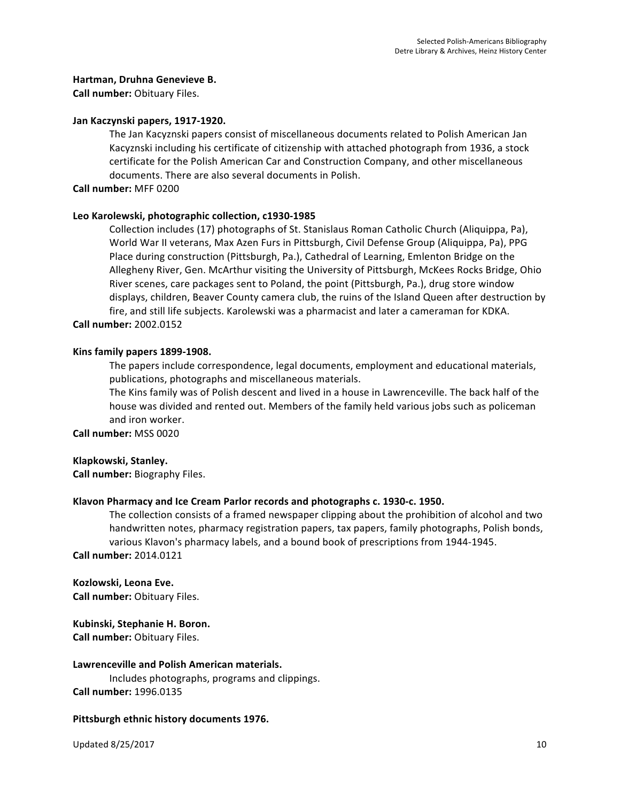### **Hartman, Druhna Genevieve B.**

**Call number:** Obituary Files.

### Jan Kaczynski papers, 1917-1920.

The Jan Kacyznski papers consist of miscellaneous documents related to Polish American Jan Kacyznski including his certificate of citizenship with attached photograph from 1936, a stock certificate for the Polish American Car and Construction Company, and other miscellaneous documents. There are also several documents in Polish.

**Call number:** MFF 0200

### Leo Karolewski, photographic collection, c1930-1985

Collection includes (17) photographs of St. Stanislaus Roman Catholic Church (Aliquippa, Pa), World War II veterans, Max Azen Furs in Pittsburgh, Civil Defense Group (Aliquippa, Pa), PPG Place during construction (Pittsburgh, Pa.), Cathedral of Learning, Emlenton Bridge on the Allegheny River, Gen. McArthur visiting the University of Pittsburgh, McKees Rocks Bridge, Ohio River scenes, care packages sent to Poland, the point (Pittsburgh, Pa.), drug store window displays, children, Beaver County camera club, the ruins of the Island Queen after destruction by fire, and still life subjects. Karolewski was a pharmacist and later a cameraman for KDKA.

**Call number:** 2002.0152

### Kins family papers 1899-1908.

The papers include correspondence, legal documents, employment and educational materials, publications, photographs and miscellaneous materials.

The Kins family was of Polish descent and lived in a house in Lawrenceville. The back half of the house was divided and rented out. Members of the family held various jobs such as policeman and iron worker.

**Call number:** MSS 0020

### **Klapkowski, Stanley.**

**Call number:** Biography Files.

### Klavon Pharmacy and Ice Cream Parlor records and photographs c. 1930-c. 1950.

The collection consists of a framed newspaper clipping about the prohibition of alcohol and two handwritten notes, pharmacy registration papers, tax papers, family photographs, Polish bonds, various Klavon's pharmacy labels, and a bound book of prescriptions from 1944-1945. **Call number:** 2014.0121

**Kozlowski, Leona Eve.** 

**Call number:** Obituary Files.

**Kubinski, Stephanie H. Boron.** 

**Call number:** Obituary Files.

### **Lawrenceville and Polish American materials.**

Includes photographs, programs and clippings. **Call number:** 1996.0135

### Pittsburgh ethnic history documents 1976.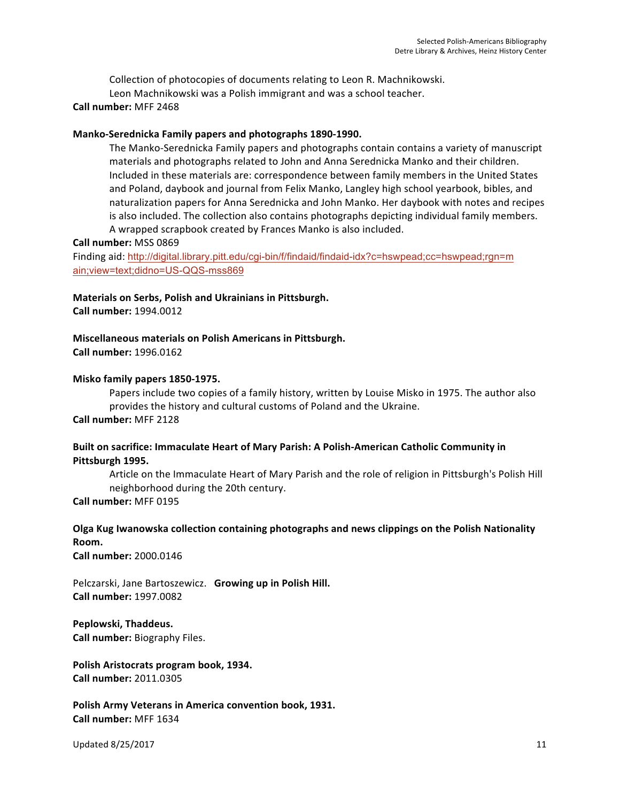Collection of photocopies of documents relating to Leon R. Machnikowski.

Leon Machnikowski was a Polish immigrant and was a school teacher.

## **Call number:** MFF 2468

## Manko-Serednicka Family papers and photographs 1890-1990.

The Manko-Serednicka Family papers and photographs contain contains a variety of manuscript materials and photographs related to John and Anna Serednicka Manko and their children. Included in these materials are: correspondence between family members in the United States and Poland, daybook and journal from Felix Manko, Langley high school yearbook, bibles, and naturalization papers for Anna Serednicka and John Manko. Her daybook with notes and recipes is also included. The collection also contains photographs depicting individual family members. A wrapped scrapbook created by Frances Manko is also included.

### **Call number:** MSS 0869

Finding aid: http://digital.library.pitt.edu/cgi-bin/f/findaid/findaid-idx?c=hswpead;cc=hswpead;rgn=m ain;view=text;didno=US-QQS-mss869

### **Materials on Serbs, Polish and Ukrainians in Pittsburgh.**

**Call number:** 1994.0012

### **Miscellaneous materials on Polish Americans in Pittsburgh.**

**Call number:** 1996.0162

### **Misko family papers 1850-1975.**

Papers include two copies of a family history, written by Louise Misko in 1975. The author also provides the history and cultural customs of Poland and the Ukraine. **Call number:** MFF 2128

## Built on sacrifice: Immaculate Heart of Mary Parish: A Polish-American Catholic Community in Pittsburgh 1995.

Article on the Immaculate Heart of Mary Parish and the role of religion in Pittsburgh's Polish Hill neighborhood during the 20th century.

**Call number:** MFF 0195

## **Olga Kug Iwanowska collection containing photographs and news clippings on the Polish Nationality Room.**

**Call number:** 2000.0146

Pelczarski, Jane Bartoszewicz. Growing up in Polish Hill. **Call number:** 1997.0082

**Peplowski, Thaddeus. Call number:** Biography Files.

Polish Aristocrats program book, 1934. **Call number:** 2011.0305

**Polish Army Veterans in America convention book, 1931. Call number:** MFF 1634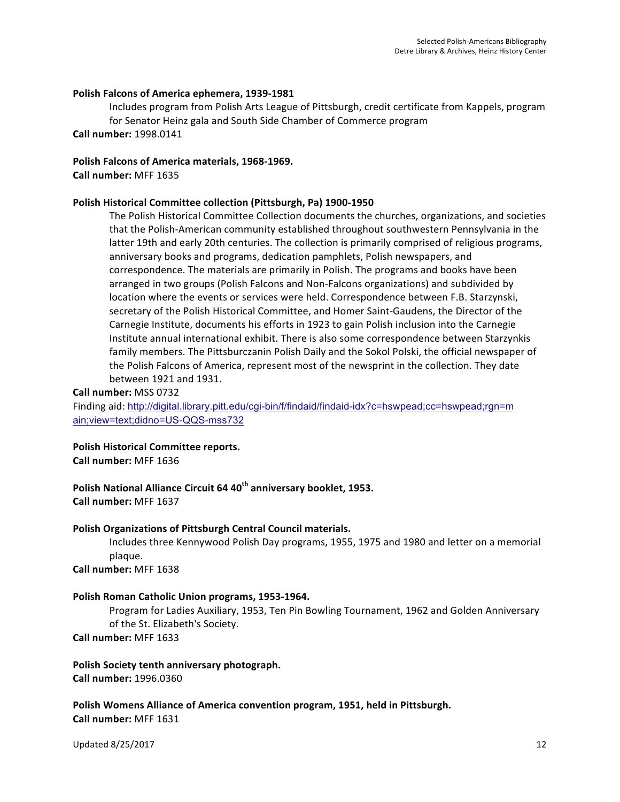### Polish Falcons of America ephemera, 1939-1981

Includes program from Polish Arts League of Pittsburgh, credit certificate from Kappels, program for Senator Heinz gala and South Side Chamber of Commerce program **Call number:** 1998.0141

Polish Falcons of America materials, 1968-1969.

**Call number:** MFF 1635

## **Polish Historical Committee collection (Pittsburgh, Pa) 1900-1950**

The Polish Historical Committee Collection documents the churches, organizations, and societies that the Polish-American community established throughout southwestern Pennsylvania in the latter 19th and early 20th centuries. The collection is primarily comprised of religious programs, anniversary books and programs, dedication pamphlets, Polish newspapers, and correspondence. The materials are primarily in Polish. The programs and books have been arranged in two groups (Polish Falcons and Non-Falcons organizations) and subdivided by location where the events or services were held. Correspondence between F.B. Starzynski, secretary of the Polish Historical Committee, and Homer Saint-Gaudens, the Director of the Carnegie Institute, documents his efforts in 1923 to gain Polish inclusion into the Carnegie Institute annual international exhibit. There is also some correspondence between Starzynkis family members. The Pittsburczanin Polish Daily and the Sokol Polski, the official newspaper of the Polish Falcons of America, represent most of the newsprint in the collection. They date between 1921 and 1931.

### **Call number:** MSS 0732

Finding aid: http://digital.library.pitt.edu/cgi-bin/f/findaid/findaid-idx?c=hswpead;cc=hswpead;rgn=m ain;view=text;didno=US-QQS-mss732

## **Polish Historical Committee reports.**

**Call number:** MFF 1636

**Polish National Alliance Circuit 64 40<sup>th</sup> anniversary booklet, 1953. Call number:** MFF 1637

## **Polish Organizations of Pittsburgh Central Council materials.**

Includes three Kennywood Polish Day programs, 1955, 1975 and 1980 and letter on a memorial plaque.

**Call number:** MFF 1638

### Polish Roman Catholic Union programs, 1953-1964.

Program for Ladies Auxiliary, 1953, Ten Pin Bowling Tournament, 1962 and Golden Anniversary of the St. Elizabeth's Society.

**Call number:** MFF 1633

### Polish Society tenth anniversary photograph. **Call number:** 1996.0360

**Polish Womens Alliance of America convention program, 1951, held in Pittsburgh. Call number:** MFF 1631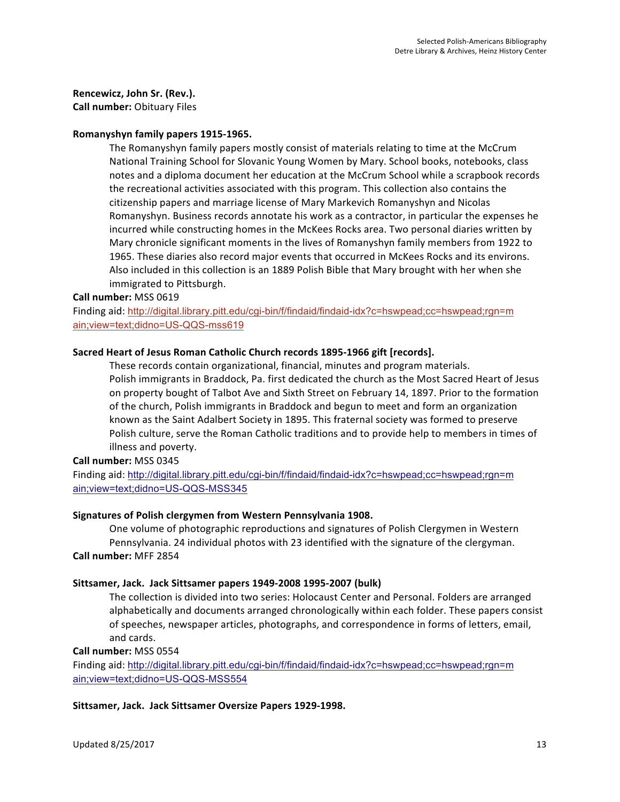**Rencewicz, John Sr. (Rev.).** 

**Call number:** Obituary Files

## Romanyshyn family papers 1915-1965.

The Romanyshyn family papers mostly consist of materials relating to time at the McCrum National Training School for Slovanic Young Women by Mary. School books, notebooks, class notes and a diploma document her education at the McCrum School while a scrapbook records the recreational activities associated with this program. This collection also contains the citizenship papers and marriage license of Mary Markevich Romanyshyn and Nicolas Romanyshyn. Business records annotate his work as a contractor, in particular the expenses he incurred while constructing homes in the McKees Rocks area. Two personal diaries written by Mary chronicle significant moments in the lives of Romanyshyn family members from 1922 to 1965. These diaries also record major events that occurred in McKees Rocks and its environs. Also included in this collection is an 1889 Polish Bible that Mary brought with her when she immigrated to Pittsburgh.

### **Call number:** MSS 0619

Finding aid: http://digital.library.pitt.edu/cgi-bin/f/findaid/findaid-idx?c=hswpead;cc=hswpead;rgn=m ain;view=text;didno=US-QQS-mss619

## Sacred Heart of Jesus Roman Catholic Church records 1895-1966 gift [records].

These records contain organizational, financial, minutes and program materials. Polish immigrants in Braddock, Pa. first dedicated the church as the Most Sacred Heart of Jesus on property bought of Talbot Ave and Sixth Street on February 14, 1897. Prior to the formation of the church, Polish immigrants in Braddock and begun to meet and form an organization known as the Saint Adalbert Society in 1895. This fraternal society was formed to preserve Polish culture, serve the Roman Catholic traditions and to provide help to members in times of illness and poverty.

### **Call number:** MSS 0345

Finding aid: http://digital.library.pitt.edu/cgi-bin/f/findaid/findaid-idx?c=hswpead;cc=hswpead;rgn=m ain;view=text;didno=US-QQS-MSS345

## **Signatures of Polish clergymen from Western Pennsylvania 1908.**

One volume of photographic reproductions and signatures of Polish Clergymen in Western Pennsylvania. 24 individual photos with 23 identified with the signature of the clergyman. **Call number:** MFF 2854

## Sittsamer, Jack. Jack Sittsamer papers 1949-2008 1995-2007 (bulk)

The collection is divided into two series: Holocaust Center and Personal. Folders are arranged alphabetically and documents arranged chronologically within each folder. These papers consist of speeches, newspaper articles, photographs, and correspondence in forms of letters, email, and cards.

**Call number:** MSS 0554

Finding aid: http://digital.library.pitt.edu/cgi-bin/f/findaid/findaid-idx?c=hswpead;cc=hswpead;rgn=m ain;view=text;didno=US-QQS-MSS554

## Sittsamer, Jack. Jack Sittsamer Oversize Papers 1929-1998.